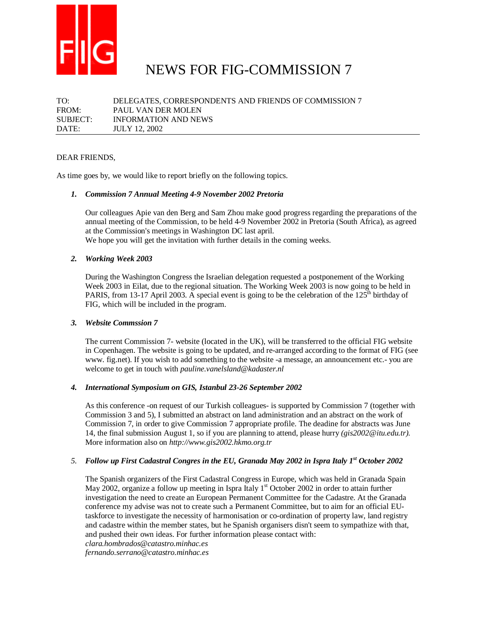

# NEWS FOR FIG-COMMISSION 7

TO: DELEGATES, CORRESPONDENTS AND FRIENDS OF COMMISSION 7 FROM: PAUL VAN DER MOLEN SUBJECT: INFORMATION AND NEWS DATE: JULY 12, 2002

#### DEAR FRIENDS,

As time goes by, we would like to report briefly on the following topics.

#### *1. Commission 7 Annual Meeting 4-9 November 2002 Pretoria*

Our colleagues Apie van den Berg and Sam Zhou make good progress regarding the preparations of the annual meeting of the Commission, to be held 4-9 November 2002 in Pretoria (South Africa), as agreed at the Commission's meetings in Washington DC last april.

We hope you will get the invitation with further details in the coming weeks.

#### *2. Working Week 2003*

During the Washington Congress the Israelian delegation requested a postponement of the Working Week 2003 in Eilat, due to the regional situation. The Working Week 2003 is now going to be held in PARIS, from 13-17 April 2003. A special event is going to be the celebration of the  $125<sup>th</sup>$  birthday of FIG, which will be included in the program.

#### *3. Website Commssion 7*

The current Commission 7- website (located in the UK), will be transferred to the official FIG website in Copenhagen. The website is going to be updated, and re-arranged according to the format of FIG (see www. fig.net). If you wish to add something to the website -a message, an announcement etc.- you are welcome to get in touch with *pauline.vanelsland@kadaster.nl*

#### *4. International Symposium on GIS, Istanbul 23-26 September 2002*

As this conference -on request of our Turkish colleagues- is supported by Commission 7 (together with Commission 3 and 5), I submitted an abstract on land administration and an abstract on the work of Commission 7, in order to give Commission 7 appropriate profile. The deadine for abstracts was June 14, the final submission August 1, so if you are planning to attend, please hurry *(gis2002@itu.edu.tr).* More information also on *http://www.gis2002.hkmo.org.tr*

# *5. Follow up First Cadastral Congres in the EU, Granada May 2002 in Ispra Italy 1st October 2002*

The Spanish organizers of the First Cadastral Congress in Europe, which was held in Granada Spain May 2002, organize a follow up meeting in Ispra Italy  $1<sup>st</sup>$  October 2002 in order to attain further investigation the need to create an European Permanent Committee for the Cadastre. At the Granada conference my advise was not to create such a Permanent Committee, but to aim for an official EUtaskforce to investigate the necessity of harmonisation or co-ordination of property law, land registry and cadastre within the member states, but he Spanish organisers disn't seem to sympathize with that, and pushed their own ideas. For further information please contact with:

*clara.hombrados@catastro.minhac.es* 

*fernando.serrano@catastro.minhac.es*